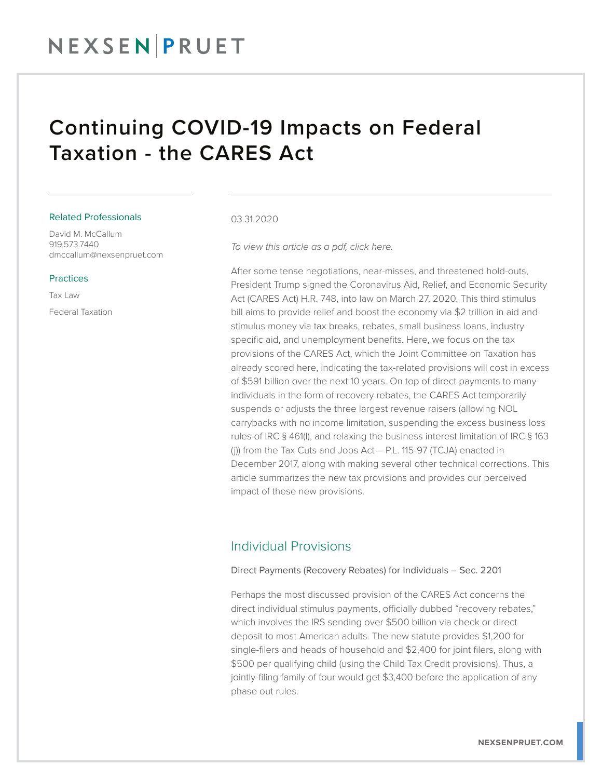### Continuing COVID-19 Impacts on Federal Taxation - the CARES Act

#### Related Professionals

David M. McCallum 919.573.7440 dmccallum@nexsenpruet.com

#### Practices

Tax Law Federal Taxation

#### 03.31.2020

*To view this article as a pdf, click here.*

After some tense negotiations, near-misses, and threatened hold-outs, President Trump signed the Coronavirus Aid, Relief, and Economic Security Act (CARES Act) H.R. 748, into law on March 27, 2020. This third stimulus bill aims to provide relief and boost the economy via \$2 trillion in aid and stimulus money via tax breaks, rebates, small business loans, industry specific aid, and unemployment benefits. Here, we focus on the tax provisions of the CARES Act, which the Joint Committee on Taxation has already scored here, indicating the tax-related provisions will cost in excess of \$591 billion over the next 10 years. On top of direct payments to many individuals in the form of recovery rebates, the CARES Act temporarily suspends or adjusts the three largest revenue raisers (allowing NOL carrybacks with no income limitation, suspending the excess business loss rules of IRC § 461(l), and relaxing the business interest limitation of IRC § 163 (j)) from the Tax Cuts and Jobs Act – P.L. 115-97 (TCJA) enacted in December 2017, along with making several other technical corrections. This article summarizes the new tax provisions and provides our perceived impact of these new provisions.

### Individual Provisions

#### Direct Payments (Recovery Rebates) for Individuals – Sec. 2201

Perhaps the most discussed provision of the CARES Act concerns the direct individual stimulus payments, officially dubbed "recovery rebates," which involves the IRS sending over \$500 billion via check or direct deposit to most American adults. The new statute provides \$1,200 for single-filers and heads of household and \$2,400 for joint filers, along with \$500 per qualifying child (using the Child Tax Credit provisions). Thus, a jointly-filing family of four would get \$3,400 before the application of any phase out rules.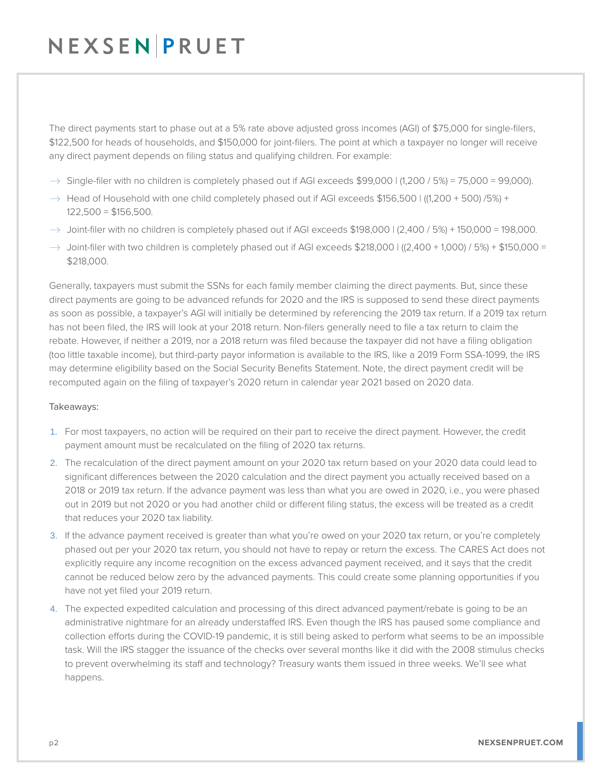The direct payments start to phase out at a 5% rate above adjusted gross incomes (AGI) of \$75,000 for single-filers, \$122,500 for heads of households, and \$150,000 for joint-filers. The point at which a taxpayer no longer will receive any direct payment depends on filing status and qualifying children. For example:

- $\rightarrow$  Single-filer with no children is completely phased out if AGI exceeds \$99,000 | (1,200 / 5%) = 75,000 = 99,000).
- $\rightarrow$  Head of Household with one child completely phased out if AGI exceeds \$156,500 | ((1,200 + 500) /5%) +  $122,500 = $156,500.$
- $\rightarrow$  Joint-filer with no children is completely phased out if AGI exceeds \$198,000 | (2,400 / 5%) + 150,000 = 198,000.
- $\rightarrow$  Joint-filer with two children is completely phased out if AGI exceeds \$218,000 | ((2,400 + 1,000) / 5%) + \$150,000 = \$218,000.

Generally, taxpayers must submit the SSNs for each family member claiming the direct payments. But, since these direct payments are going to be advanced refunds for 2020 and the IRS is supposed to send these direct payments as soon as possible, a taxpayer's AGI will initially be determined by referencing the 2019 tax return. If a 2019 tax return has not been filed, the IRS will look at your 2018 return. Non-filers generally need to file a tax return to claim the rebate. However, if neither a 2019, nor a 2018 return was filed because the taxpayer did not have a filing obligation (too little taxable income), but third-party payor information is available to the IRS, like a 2019 Form SSA-1099, the IRS may determine eligibility based on the Social Security Benefits Statement. Note, the direct payment credit will be recomputed again on the filing of taxpayer's 2020 return in calendar year 2021 based on 2020 data.

#### Takeaways:

- 1. For most taxpayers, no action will be required on their part to receive the direct payment. However, the credit payment amount must be recalculated on the filing of 2020 tax returns.
- 2. The recalculation of the direct payment amount on your 2020 tax return based on your 2020 data could lead to significant differences between the 2020 calculation and the direct payment you actually received based on a 2018 or 2019 tax return. If the advance payment was less than what you are owed in 2020, i.e., you were phased out in 2019 but not 2020 or you had another child or different filing status, the excess will be treated as a credit that reduces your 2020 tax liability.
- 3. If the advance payment received is greater than what you're owed on your 2020 tax return, or you're completely phased out per your 2020 tax return, you should not have to repay or return the excess. The CARES Act does not explicitly require any income recognition on the excess advanced payment received, and it says that the credit cannot be reduced below zero by the advanced payments. This could create some planning opportunities if you have not yet filed your 2019 return.
- 4. The expected expedited calculation and processing of this direct advanced payment/rebate is going to be an administrative nightmare for an already understaffed IRS. Even though the IRS has paused some compliance and collection efforts during the COVID-19 pandemic, it is still being asked to perform what seems to be an impossible task. Will the IRS stagger the issuance of the checks over several months like it did with the 2008 stimulus checks to prevent overwhelming its staff and technology? Treasury wants them issued in three weeks. We'll see what happens.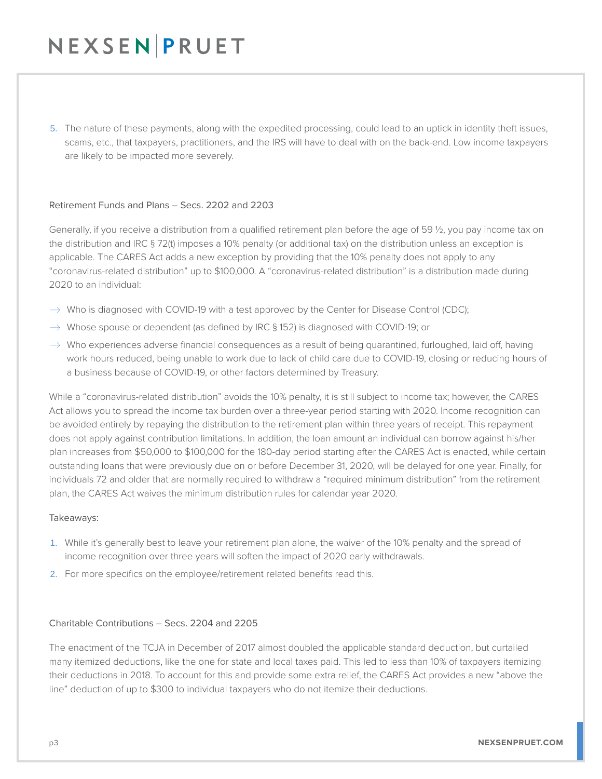5. The nature of these payments, along with the expedited processing, could lead to an uptick in identity theft issues, scams, etc., that taxpayers, practitioners, and the IRS will have to deal with on the back-end. Low income taxpayers are likely to be impacted more severely.

#### Retirement Funds and Plans – Secs. 2202 and 2203

Generally, if you receive a distribution from a qualified retirement plan before the age of 59 ½, you pay income tax on the distribution and IRC § 72(t) imposes a 10% penalty (or additional tax) on the distribution unless an exception is applicable. The CARES Act adds a new exception by providing that the 10% penalty does not apply to any "coronavirus-related distribution" up to \$100,000. A "coronavirus-related distribution" is a distribution made during 2020 to an individual:

- $\rightarrow$  Who is diagnosed with COVID-19 with a test approved by the Center for Disease Control (CDC);
- $\rightarrow$  Whose spouse or dependent (as defined by IRC § 152) is diagnosed with COVID-19; or
- $\rightarrow$  Who experiences adverse financial consequences as a result of being quarantined, furloughed, laid off, having work hours reduced, being unable to work due to lack of child care due to COVID-19, closing or reducing hours of a business because of COVID-19, or other factors determined by Treasury.

While a "coronavirus-related distribution" avoids the 10% penalty, it is still subject to income tax; however, the CARES Act allows you to spread the income tax burden over a three-year period starting with 2020. Income recognition can be avoided entirely by repaying the distribution to the retirement plan within three years of receipt. This repayment does not apply against contribution limitations. In addition, the loan amount an individual can borrow against his/her plan increases from \$50,000 to \$100,000 for the 180-day period starting after the CARES Act is enacted, while certain outstanding loans that were previously due on or before December 31, 2020, will be delayed for one year. Finally, for individuals 72 and older that are normally required to withdraw a "required minimum distribution" from the retirement plan, the CARES Act waives the minimum distribution rules for calendar year 2020.

#### Takeaways:

- 1. While it's generally best to leave your retirement plan alone, the waiver of the 10% penalty and the spread of income recognition over three years will soften the impact of 2020 early withdrawals.
- 2. For more specifics on the employee/retirement related benefits read this.

#### Charitable Contributions – Secs. 2204 and 2205

The enactment of the TCJA in December of 2017 almost doubled the applicable standard deduction, but curtailed many itemized deductions, like the one for state and local taxes paid. This led to less than 10% of taxpayers itemizing their deductions in 2018. To account for this and provide some extra relief, the CARES Act provides a new "above the line" deduction of up to \$300 to individual taxpayers who do not itemize their deductions.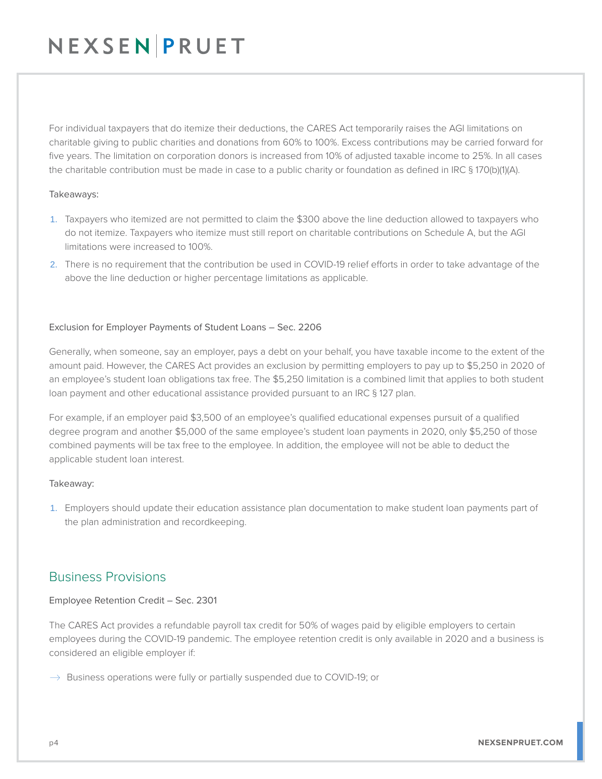For individual taxpayers that do itemize their deductions, the CARES Act temporarily raises the AGI limitations on charitable giving to public charities and donations from 60% to 100%. Excess contributions may be carried forward for five years. The limitation on corporation donors is increased from 10% of adjusted taxable income to 25%. In all cases the charitable contribution must be made in case to a public charity or foundation as defined in IRC § 170(b)(1)(A).

#### Takeaways:

- 1. Taxpayers who itemized are not permitted to claim the \$300 above the line deduction allowed to taxpayers who do not itemize. Taxpayers who itemize must still report on charitable contributions on Schedule A, but the AGI limitations were increased to 100%.
- 2. There is no requirement that the contribution be used in COVID-19 relief efforts in order to take advantage of the above the line deduction or higher percentage limitations as applicable.

#### Exclusion for Employer Payments of Student Loans – Sec. 2206

Generally, when someone, say an employer, pays a debt on your behalf, you have taxable income to the extent of the amount paid. However, the CARES Act provides an exclusion by permitting employers to pay up to \$5,250 in 2020 of an employee's student loan obligations tax free. The \$5,250 limitation is a combined limit that applies to both student loan payment and other educational assistance provided pursuant to an IRC § 127 plan.

For example, if an employer paid \$3,500 of an employee's qualified educational expenses pursuit of a qualified degree program and another \$5,000 of the same employee's student loan payments in 2020, only \$5,250 of those combined payments will be tax free to the employee. In addition, the employee will not be able to deduct the applicable student loan interest.

#### Takeaway:

1. Employers should update their education assistance plan documentation to make student loan payments part of the plan administration and recordkeeping.

### Business Provisions

#### Employee Retention Credit – Sec. 2301

The CARES Act provides a refundable payroll tax credit for 50% of wages paid by eligible employers to certain employees during the COVID-19 pandemic. The employee retention credit is only available in 2020 and a business is considered an eligible employer if:

 $\rightarrow$  Business operations were fully or partially suspended due to COVID-19; or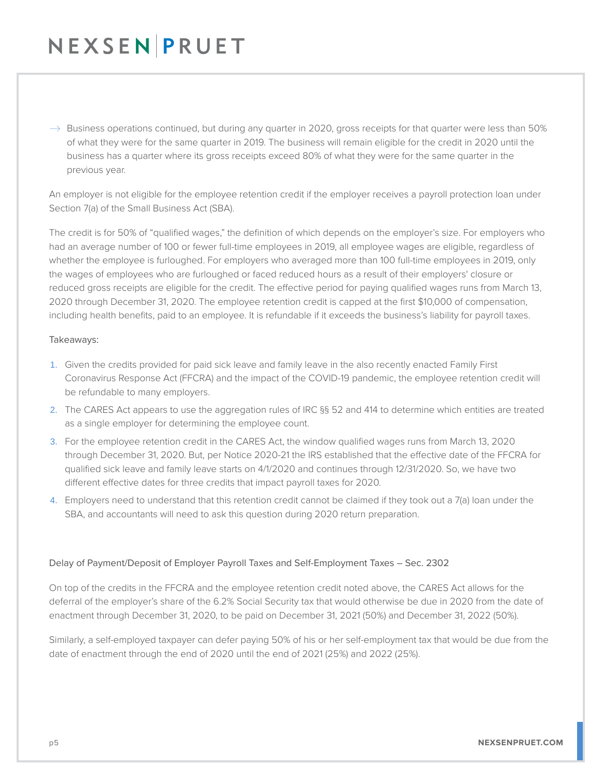$\rightarrow$  Business operations continued, but during any quarter in 2020, gross receipts for that quarter were less than 50% of what they were for the same quarter in 2019. The business will remain eligible for the credit in 2020 until the business has a quarter where its gross receipts exceed 80% of what they were for the same quarter in the previous year.

An employer is not eligible for the employee retention credit if the employer receives a payroll protection loan under Section 7(a) of the Small Business Act (SBA).

The credit is for 50% of "qualified wages," the definition of which depends on the employer's size. For employers who had an average number of 100 or fewer full-time employees in 2019, all employee wages are eligible, regardless of whether the employee is furloughed. For employers who averaged more than 100 full-time employees in 2019, only the wages of employees who are furloughed or faced reduced hours as a result of their employers' closure or reduced gross receipts are eligible for the credit. The effective period for paying qualified wages runs from March 13, 2020 through December 31, 2020. The employee retention credit is capped at the first \$10,000 of compensation, including health benefits, paid to an employee. It is refundable if it exceeds the business's liability for payroll taxes.

#### Takeaways:

- 1. Given the credits provided for paid sick leave and family leave in the also recently enacted Family First Coronavirus Response Act (FFCRA) and the impact of the COVID-19 pandemic, the employee retention credit will be refundable to many employers.
- 2. The CARES Act appears to use the aggregation rules of IRC §§ 52 and 414 to determine which entities are treated as a single employer for determining the employee count.
- 3. For the employee retention credit in the CARES Act, the window qualified wages runs from March 13, 2020 through December 31, 2020. But, per Notice 2020-21 the IRS established that the effective date of the FFCRA for qualified sick leave and family leave starts on 4/1/2020 and continues through 12/31/2020. So, we have two different effective dates for three credits that impact payroll taxes for 2020.
- 4. Employers need to understand that this retention credit cannot be claimed if they took out a 7(a) loan under the SBA, and accountants will need to ask this question during 2020 return preparation.

#### Delay of Payment/Deposit of Employer Payroll Taxes and Self-Employment Taxes – Sec. 2302

On top of the credits in the FFCRA and the employee retention credit noted above, the CARES Act allows for the deferral of the employer's share of the 6.2% Social Security tax that would otherwise be due in 2020 from the date of enactment through December 31, 2020, to be paid on December 31, 2021 (50%) and December 31, 2022 (50%).

Similarly, a self-employed taxpayer can defer paying 50% of his or her self-employment tax that would be due from the date of enactment through the end of 2020 until the end of 2021 (25%) and 2022 (25%).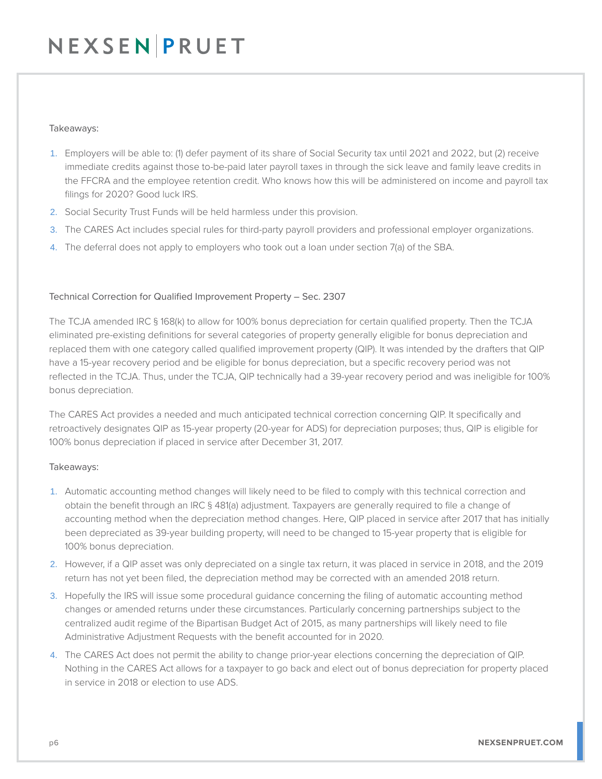#### Takeaways:

- 1. Employers will be able to: (1) defer payment of its share of Social Security tax until 2021 and 2022, but (2) receive immediate credits against those to-be-paid later payroll taxes in through the sick leave and family leave credits in the FFCRA and the employee retention credit. Who knows how this will be administered on income and payroll tax filings for 2020? Good luck IRS.
- 2. Social Security Trust Funds will be held harmless under this provision.
- 3. The CARES Act includes special rules for third-party payroll providers and professional employer organizations.
- 4. The deferral does not apply to employers who took out a loan under section 7(a) of the SBA.

#### Technical Correction for Qualified Improvement Property – Sec. 2307

The TCJA amended IRC § 168(k) to allow for 100% bonus depreciation for certain qualified property. Then the TCJA eliminated pre-existing definitions for several categories of property generally eligible for bonus depreciation and replaced them with one category called qualified improvement property (QIP). It was intended by the drafters that QIP have a 15-year recovery period and be eligible for bonus depreciation, but a specific recovery period was not reflected in the TCJA. Thus, under the TCJA, QIP technically had a 39-year recovery period and was ineligible for 100% bonus depreciation.

The CARES Act provides a needed and much anticipated technical correction concerning QIP. It specifically and retroactively designates QIP as 15-year property (20-year for ADS) for depreciation purposes; thus, QIP is eligible for 100% bonus depreciation if placed in service after December 31, 2017.

#### Takeaways:

- 1. Automatic accounting method changes will likely need to be filed to comply with this technical correction and obtain the benefit through an IRC § 481(a) adjustment. Taxpayers are generally required to file a change of accounting method when the depreciation method changes. Here, QIP placed in service after 2017 that has initially been depreciated as 39-year building property, will need to be changed to 15-year property that is eligible for 100% bonus depreciation.
- 2. However, if a QIP asset was only depreciated on a single tax return, it was placed in service in 2018, and the 2019 return has not yet been filed, the depreciation method may be corrected with an amended 2018 return.
- 3. Hopefully the IRS will issue some procedural guidance concerning the filing of automatic accounting method changes or amended returns under these circumstances. Particularly concerning partnerships subject to the centralized audit regime of the Bipartisan Budget Act of 2015, as many partnerships will likely need to file Administrative Adjustment Requests with the benefit accounted for in 2020.
- 4. The CARES Act does not permit the ability to change prior-year elections concerning the depreciation of QIP. Nothing in the CARES Act allows for a taxpayer to go back and elect out of bonus depreciation for property placed in service in 2018 or election to use ADS.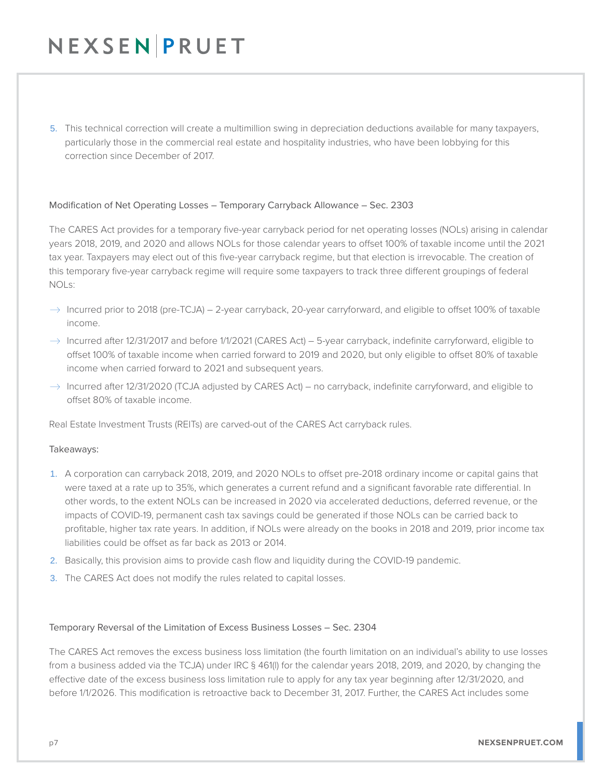5. This technical correction will create a multimillion swing in depreciation deductions available for many taxpayers, particularly those in the commercial real estate and hospitality industries, who have been lobbying for this correction since December of 2017.

#### Modification of Net Operating Losses – Temporary Carryback Allowance – Sec. 2303

The CARES Act provides for a temporary five-year carryback period for net operating losses (NOLs) arising in calendar years 2018, 2019, and 2020 and allows NOLs for those calendar years to offset 100% of taxable income until the 2021 tax year. Taxpayers may elect out of this five-year carryback regime, but that election is irrevocable. The creation of this temporary five-year carryback regime will require some taxpayers to track three different groupings of federal NOLs:

- $\rightarrow$  Incurred prior to 2018 (pre-TCJA) 2-year carryback, 20-year carryforward, and eligible to offset 100% of taxable income.
- $\rightarrow$  Incurred after 12/31/2017 and before 1/1/2021 (CARES Act) 5-year carryback, indefinite carryforward, eligible to offset 100% of taxable income when carried forward to 2019 and 2020, but only eligible to offset 80% of taxable income when carried forward to 2021 and subsequent years.
- $\rightarrow$  Incurred after 12/31/2020 (TCJA adjusted by CARES Act) no carryback, indefinite carryforward, and eligible to offset 80% of taxable income.

Real Estate Investment Trusts (REITs) are carved-out of the CARES Act carryback rules.

#### Takeaways:

- 1. A corporation can carryback 2018, 2019, and 2020 NOLs to offset pre-2018 ordinary income or capital gains that were taxed at a rate up to 35%, which generates a current refund and a significant favorable rate differential. In other words, to the extent NOLs can be increased in 2020 via accelerated deductions, deferred revenue, or the impacts of COVID-19, permanent cash tax savings could be generated if those NOLs can be carried back to profitable, higher tax rate years. In addition, if NOLs were already on the books in 2018 and 2019, prior income tax liabilities could be offset as far back as 2013 or 2014.
- 2. Basically, this provision aims to provide cash flow and liquidity during the COVID-19 pandemic.
- 3. The CARES Act does not modify the rules related to capital losses.

#### Temporary Reversal of the Limitation of Excess Business Losses – Sec. 2304

The CARES Act removes the excess business loss limitation (the fourth limitation on an individual's ability to use losses from a business added via the TCJA) under IRC § 461(l) for the calendar years 2018, 2019, and 2020, by changing the effective date of the excess business loss limitation rule to apply for any tax year beginning after 12/31/2020, and before 1/1/2026. This modification is retroactive back to December 31, 2017. Further, the CARES Act includes some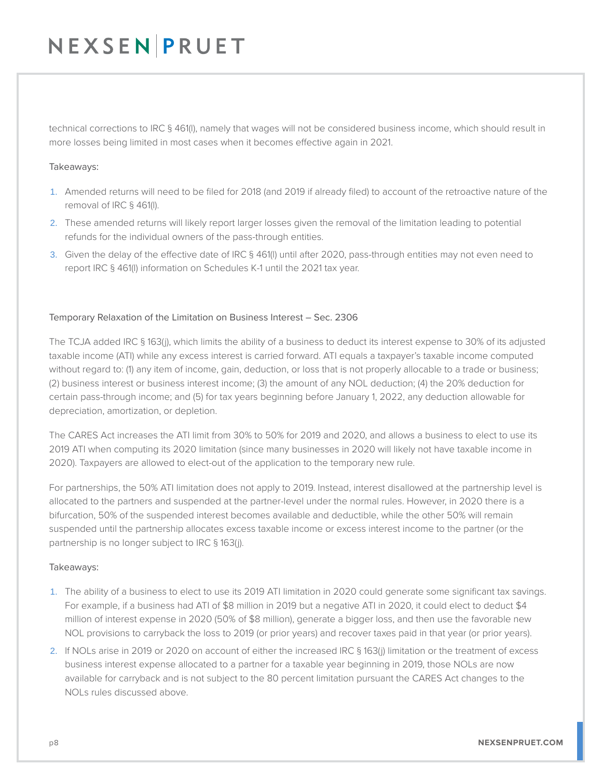technical corrections to IRC § 461(l), namely that wages will not be considered business income, which should result in more losses being limited in most cases when it becomes effective again in 2021.

#### Takeaways:

- 1. Amended returns will need to be filed for 2018 (and 2019 if already filed) to account of the retroactive nature of the removal of IRC § 461(l).
- 2. These amended returns will likely report larger losses given the removal of the limitation leading to potential refunds for the individual owners of the pass-through entities.
- 3. Given the delay of the effective date of IRC § 461(l) until after 2020, pass-through entities may not even need to report IRC § 461(l) information on Schedules K-1 until the 2021 tax year.

#### Temporary Relaxation of the Limitation on Business Interest – Sec. 2306

The TCJA added IRC § 163(j), which limits the ability of a business to deduct its interest expense to 30% of its adjusted taxable income (ATI) while any excess interest is carried forward. ATI equals a taxpayer's taxable income computed without regard to: (1) any item of income, gain, deduction, or loss that is not properly allocable to a trade or business; (2) business interest or business interest income; (3) the amount of any NOL deduction; (4) the 20% deduction for certain pass-through income; and (5) for tax years beginning before January 1, 2022, any deduction allowable for depreciation, amortization, or depletion.

The CARES Act increases the ATI limit from 30% to 50% for 2019 and 2020, and allows a business to elect to use its 2019 ATI when computing its 2020 limitation (since many businesses in 2020 will likely not have taxable income in 2020). Taxpayers are allowed to elect-out of the application to the temporary new rule.

For partnerships, the 50% ATI limitation does not apply to 2019. Instead, interest disallowed at the partnership level is allocated to the partners and suspended at the partner-level under the normal rules. However, in 2020 there is a bifurcation, 50% of the suspended interest becomes available and deductible, while the other 50% will remain suspended until the partnership allocates excess taxable income or excess interest income to the partner (or the partnership is no longer subject to IRC § 163(j).

#### Takeaways:

- 1. The ability of a business to elect to use its 2019 ATI limitation in 2020 could generate some significant tax savings. For example, if a business had ATI of \$8 million in 2019 but a negative ATI in 2020, it could elect to deduct \$4 million of interest expense in 2020 (50% of \$8 million), generate a bigger loss, and then use the favorable new NOL provisions to carryback the loss to 2019 (or prior years) and recover taxes paid in that year (or prior years).
- 2. If NOLs arise in 2019 or 2020 on account of either the increased IRC § 163(j) limitation or the treatment of excess business interest expense allocated to a partner for a taxable year beginning in 2019, those NOLs are now available for carryback and is not subject to the 80 percent limitation pursuant the CARES Act changes to the NOLs rules discussed above.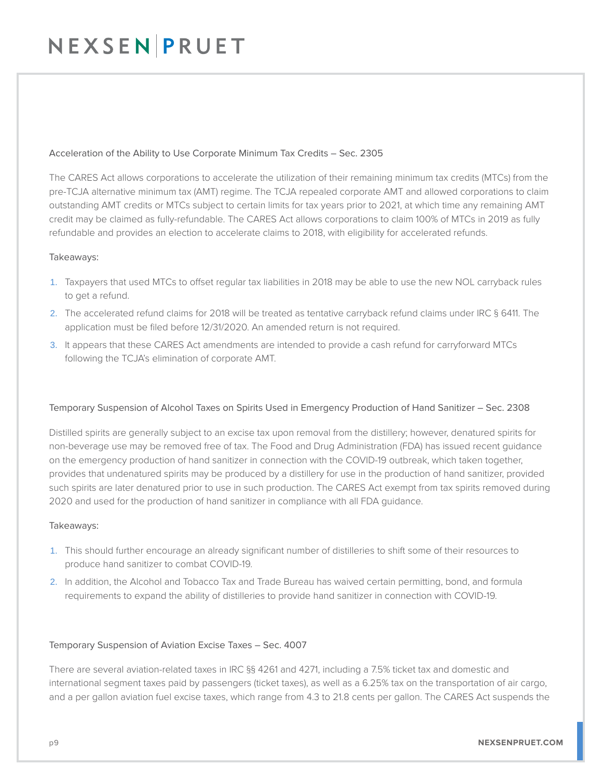#### Acceleration of the Ability to Use Corporate Minimum Tax Credits – Sec. 2305

The CARES Act allows corporations to accelerate the utilization of their remaining minimum tax credits (MTCs) from the pre-TCJA alternative minimum tax (AMT) regime. The TCJA repealed corporate AMT and allowed corporations to claim outstanding AMT credits or MTCs subject to certain limits for tax years prior to 2021, at which time any remaining AMT credit may be claimed as fully-refundable. The CARES Act allows corporations to claim 100% of MTCs in 2019 as fully refundable and provides an election to accelerate claims to 2018, with eligibility for accelerated refunds.

#### Takeaways:

- 1. Taxpayers that used MTCs to offset regular tax liabilities in 2018 may be able to use the new NOL carryback rules to get a refund.
- 2. The accelerated refund claims for 2018 will be treated as tentative carryback refund claims under IRC § 6411. The application must be filed before 12/31/2020. An amended return is not required.
- 3. It appears that these CARES Act amendments are intended to provide a cash refund for carryforward MTCs following the TCJA's elimination of corporate AMT.

#### Temporary Suspension of Alcohol Taxes on Spirits Used in Emergency Production of Hand Sanitizer – Sec. 2308

Distilled spirits are generally subject to an excise tax upon removal from the distillery; however, denatured spirits for non-beverage use may be removed free of tax. The Food and Drug Administration (FDA) has issued recent guidance on the emergency production of hand sanitizer in connection with the COVID-19 outbreak, which taken together, provides that undenatured spirits may be produced by a distillery for use in the production of hand sanitizer, provided such spirits are later denatured prior to use in such production. The CARES Act exempt from tax spirits removed during 2020 and used for the production of hand sanitizer in compliance with all FDA guidance.

#### Takeaways:

- 1. This should further encourage an already significant number of distilleries to shift some of their resources to produce hand sanitizer to combat COVID-19.
- 2. In addition, the Alcohol and Tobacco Tax and Trade Bureau has waived certain permitting, bond, and formula requirements to expand the ability of distilleries to provide hand sanitizer in connection with COVID-19.

#### Temporary Suspension of Aviation Excise Taxes – Sec. 4007

There are several aviation-related taxes in IRC §§ 4261 and 4271, including a 7.5% ticket tax and domestic and international segment taxes paid by passengers (ticket taxes), as well as a 6.25% tax on the transportation of air cargo, and a per gallon aviation fuel excise taxes, which range from 4.3 to 21.8 cents per gallon. The CARES Act suspends the